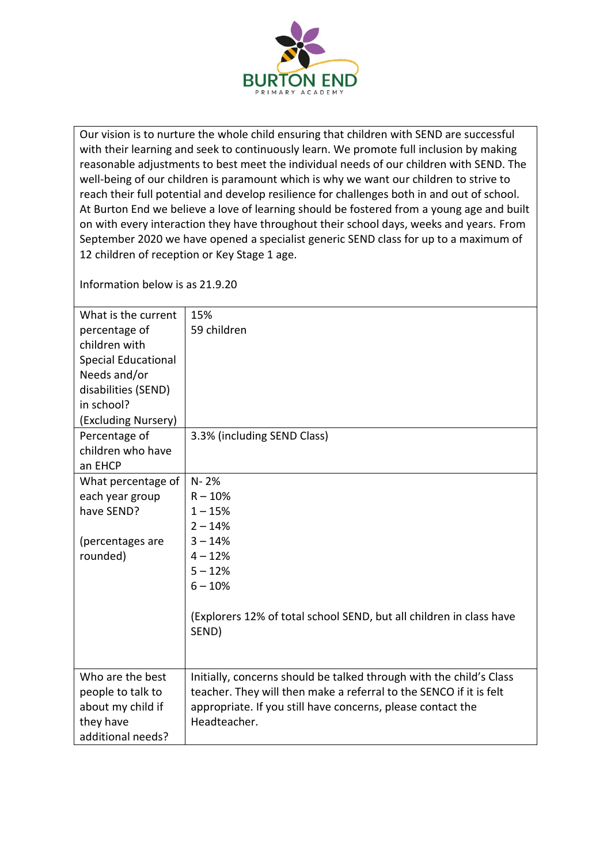

Our vision is to nurture the whole child ensuring that children with SEND are successful with their learning and seek to continuously learn. We promote full inclusion by making reasonable adjustments to best meet the individual needs of our children with SEND. The well-being of our children is paramount which is why we want our children to strive to reach their full potential and develop resilience for challenges both in and out of school. At Burton End we believe a love of learning should be fostered from a young age and built on with every interaction they have throughout their school days, weeks and years. From September 2020 we have opened a specialist generic SEND class for up to a maximum of 12 children of reception or Key Stage 1 age.

Information below is as 21.9.20

| What is the current<br>percentage of<br>children with<br><b>Special Educational</b><br>Needs and/or<br>disabilities (SEND)<br>in school? | 15%<br>59 children                                                                                                                                                                                                       |
|------------------------------------------------------------------------------------------------------------------------------------------|--------------------------------------------------------------------------------------------------------------------------------------------------------------------------------------------------------------------------|
| (Excluding Nursery)<br>Percentage of<br>children who have<br>an EHCP                                                                     | 3.3% (including SEND Class)                                                                                                                                                                                              |
| What percentage of<br>each year group<br>have SEND?<br>(percentages are<br>rounded)                                                      | $N - 2%$<br>$R - 10%$<br>$1 - 15%$<br>$2 - 14%$<br>$3 - 14%$<br>$4 - 12%$<br>$5 - 12%$<br>$6 - 10%$<br>(Explorers 12% of total school SEND, but all children in class have<br>SEND)                                      |
| Who are the best<br>people to talk to<br>about my child if<br>they have<br>additional needs?                                             | Initially, concerns should be talked through with the child's Class<br>teacher. They will then make a referral to the SENCO if it is felt<br>appropriate. If you still have concerns, please contact the<br>Headteacher. |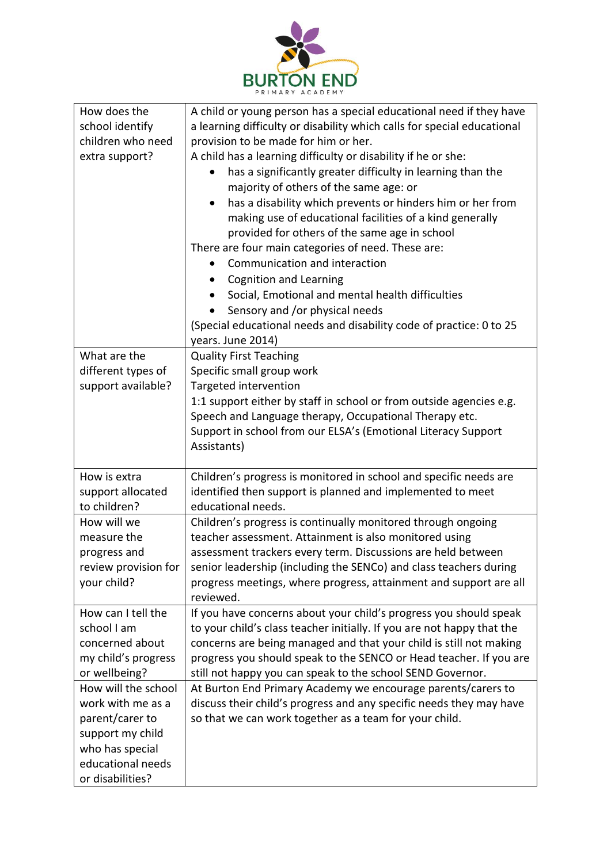

| How does the         | A child or young person has a special educational need if they have     |
|----------------------|-------------------------------------------------------------------------|
| school identify      | a learning difficulty or disability which calls for special educational |
| children who need    | provision to be made for him or her.                                    |
| extra support?       | A child has a learning difficulty or disability if he or she:           |
|                      | has a significantly greater difficulty in learning than the             |
|                      | majority of others of the same age: or                                  |
|                      | has a disability which prevents or hinders him or her from<br>$\bullet$ |
|                      | making use of educational facilities of a kind generally                |
|                      | provided for others of the same age in school                           |
|                      | There are four main categories of need. These are:                      |
|                      |                                                                         |
|                      | Communication and interaction                                           |
|                      | <b>Cognition and Learning</b>                                           |
|                      | Social, Emotional and mental health difficulties                        |
|                      | Sensory and /or physical needs                                          |
|                      | (Special educational needs and disability code of practice: 0 to 25     |
|                      | years. June 2014)                                                       |
| What are the         | <b>Quality First Teaching</b>                                           |
| different types of   | Specific small group work                                               |
| support available?   | Targeted intervention                                                   |
|                      | 1:1 support either by staff in school or from outside agencies e.g.     |
|                      | Speech and Language therapy, Occupational Therapy etc.                  |
|                      | Support in school from our ELSA's (Emotional Literacy Support           |
|                      | Assistants)                                                             |
|                      |                                                                         |
| How is extra         | Children's progress is monitored in school and specific needs are       |
| support allocated    | identified then support is planned and implemented to meet              |
| to children?         | educational needs.                                                      |
| How will we          | Children's progress is continually monitored through ongoing            |
| measure the          | teacher assessment. Attainment is also monitored using                  |
| progress and         | assessment trackers every term. Discussions are held between            |
| review provision for | senior leadership (including the SENCo) and class teachers during       |
| your child?          | progress meetings, where progress, attainment and support are all       |
|                      | reviewed.                                                               |
| How can I tell the   | If you have concerns about your child's progress you should speak       |
| school I am          | to your child's class teacher initially. If you are not happy that the  |
| concerned about      | concerns are being managed and that your child is still not making      |
| my child's progress  | progress you should speak to the SENCO or Head teacher. If you are      |
| or wellbeing?        | still not happy you can speak to the school SEND Governor.              |
| How will the school  | At Burton End Primary Academy we encourage parents/carers to            |
| work with me as a    | discuss their child's progress and any specific needs they may have     |
| parent/carer to      | so that we can work together as a team for your child.                  |
| support my child     |                                                                         |
| who has special      |                                                                         |
| educational needs    |                                                                         |
| or disabilities?     |                                                                         |
|                      |                                                                         |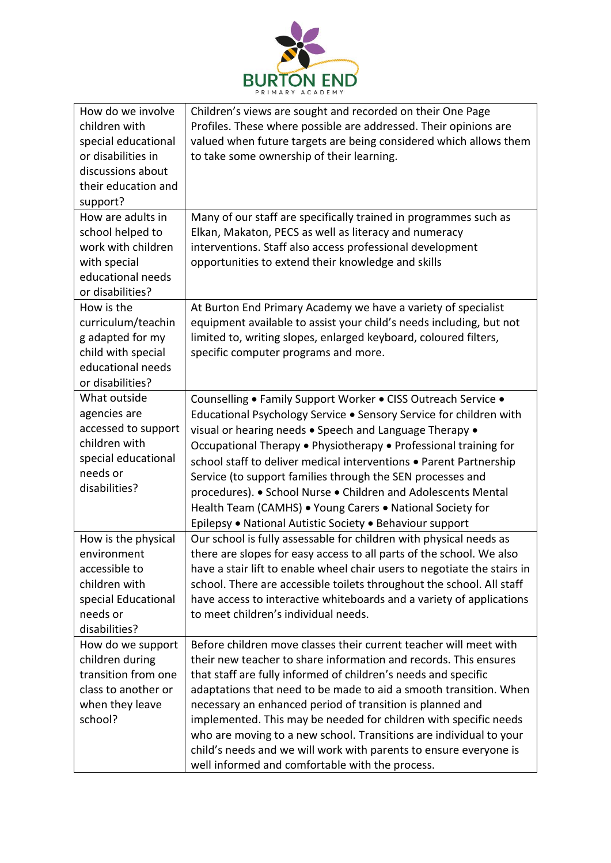

| How do we involve   | Children's views are sought and recorded on their One Page                                                                              |
|---------------------|-----------------------------------------------------------------------------------------------------------------------------------------|
| children with       | Profiles. These where possible are addressed. Their opinions are                                                                        |
| special educational | valued when future targets are being considered which allows them                                                                       |
| or disabilities in  | to take some ownership of their learning.                                                                                               |
| discussions about   |                                                                                                                                         |
| their education and |                                                                                                                                         |
| support?            |                                                                                                                                         |
| How are adults in   | Many of our staff are specifically trained in programmes such as                                                                        |
| school helped to    | Elkan, Makaton, PECS as well as literacy and numeracy                                                                                   |
| work with children  | interventions. Staff also access professional development                                                                               |
| with special        | opportunities to extend their knowledge and skills                                                                                      |
| educational needs   |                                                                                                                                         |
| or disabilities?    |                                                                                                                                         |
| How is the          | At Burton End Primary Academy we have a variety of specialist                                                                           |
| curriculum/teachin  | equipment available to assist your child's needs including, but not                                                                     |
| g adapted for my    | limited to, writing slopes, enlarged keyboard, coloured filters,                                                                        |
| child with special  | specific computer programs and more.                                                                                                    |
| educational needs   |                                                                                                                                         |
| or disabilities?    |                                                                                                                                         |
| What outside        | Counselling . Family Support Worker . CISS Outreach Service .                                                                           |
| agencies are        | Educational Psychology Service . Sensory Service for children with                                                                      |
| accessed to support | visual or hearing needs . Speech and Language Therapy .                                                                                 |
| children with       | Occupational Therapy • Physiotherapy • Professional training for                                                                        |
| special educational | school staff to deliver medical interventions . Parent Partnership                                                                      |
| needs or            | Service (to support families through the SEN processes and                                                                              |
| disabilities?       | procedures). • School Nurse • Children and Adolescents Mental                                                                           |
|                     | Health Team (CAMHS) . Young Carers . National Society for                                                                               |
|                     | Epilepsy • National Autistic Society • Behaviour support                                                                                |
| How is the physical | Our school is fully assessable for children with physical needs as                                                                      |
| environment         | there are slopes for easy access to all parts of the school. We also                                                                    |
| accessible to       | have a stair lift to enable wheel chair users to negotiate the stairs in                                                                |
| children with       | school. There are accessible toilets throughout the school. All staff                                                                   |
| special Educational | have access to interactive whiteboards and a variety of applications                                                                    |
| needs or            | to meet children's individual needs.                                                                                                    |
| disabilities?       |                                                                                                                                         |
| How do we support   | Before children move classes their current teacher will meet with                                                                       |
| children during     | their new teacher to share information and records. This ensures                                                                        |
| transition from one | that staff are fully informed of children's needs and specific                                                                          |
| class to another or | adaptations that need to be made to aid a smooth transition. When                                                                       |
| when they leave     | necessary an enhanced period of transition is planned and                                                                               |
| school?             | implemented. This may be needed for children with specific needs                                                                        |
|                     |                                                                                                                                         |
|                     |                                                                                                                                         |
|                     | well informed and comfortable with the process.                                                                                         |
|                     | who are moving to a new school. Transitions are individual to your<br>child's needs and we will work with parents to ensure everyone is |
|                     |                                                                                                                                         |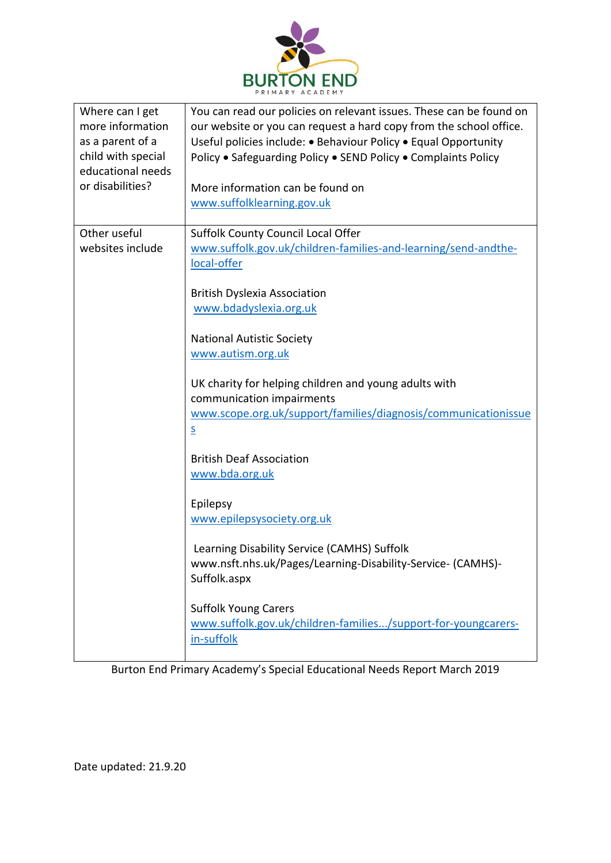

| Where can I get<br>more information<br>as a parent of a<br>child with special<br>educational needs<br>or disabilities? | You can read our policies on relevant issues. These can be found on<br>our website or you can request a hard copy from the school office.<br>Useful policies include: • Behaviour Policy • Equal Opportunity<br>Policy . Safeguarding Policy . SEND Policy . Complaints Policy<br>More information can be found on<br>www.suffolklearning.gov.uk                                                                                                                                                                                                                                                                                                                                                                                                                     |
|------------------------------------------------------------------------------------------------------------------------|----------------------------------------------------------------------------------------------------------------------------------------------------------------------------------------------------------------------------------------------------------------------------------------------------------------------------------------------------------------------------------------------------------------------------------------------------------------------------------------------------------------------------------------------------------------------------------------------------------------------------------------------------------------------------------------------------------------------------------------------------------------------|
| Other useful<br>websites include                                                                                       | <b>Suffolk County Council Local Offer</b><br>www.suffolk.gov.uk/children-families-and-learning/send-andthe-<br>local-offer<br><b>British Dyslexia Association</b><br>www.bdadyslexia.org.uk<br><b>National Autistic Society</b><br>www.autism.org.uk<br>UK charity for helping children and young adults with<br>communication impairments<br>www.scope.org.uk/support/families/diagnosis/communicationissue<br>$\overline{\mathsf{S}}$<br><b>British Deaf Association</b><br>www.bda.org.uk<br>Epilepsy<br>www.epilepsysociety.org.uk<br>Learning Disability Service (CAMHS) Suffolk<br>www.nsft.nhs.uk/Pages/Learning-Disability-Service- (CAMHS)-<br>Suffolk.aspx<br><b>Suffolk Young Carers</b><br>www.suffolk.gov.uk/children-families/support-for-youngcarers- |
|                                                                                                                        | in-suffolk                                                                                                                                                                                                                                                                                                                                                                                                                                                                                                                                                                                                                                                                                                                                                           |

Burton End Primary Academy's Special Educational Needs Report March 2019